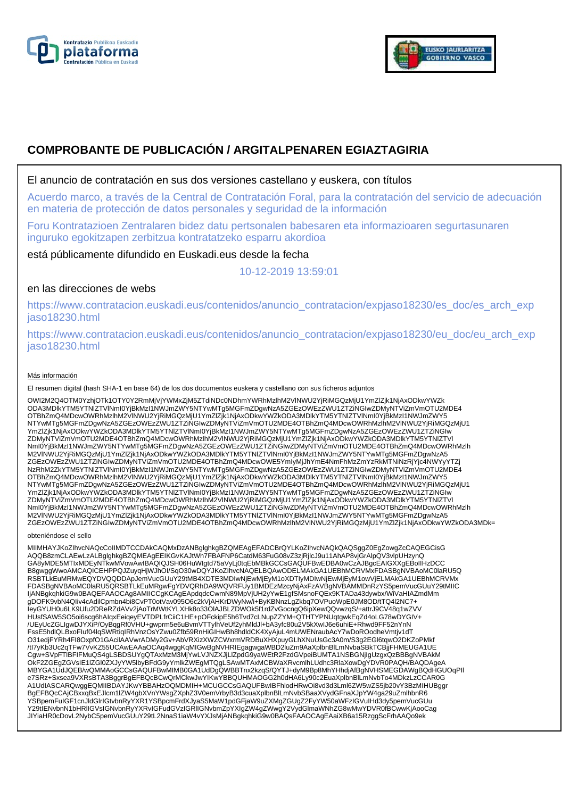



# **COMPROBANTE DE PUBLICACIÓN / ARGITALPENAREN EGIAZTAGIRIA**

### El anuncio de contratación en sus dos versiones castellano y euskera, con títulos

Acuerdo marco, a través de la Central de Contratación Foral, para la contratación del servicio de adecuación en materia de protección de datos personales y seguridad de la información

Foru Kontratazioen Zentralaren bidez datu pertsonalen babesaren eta informazioaren segurtasunaren inguruko egokitzapen zerbitzua kontratatzeko esparru akordioa

está públicamente difundido en Euskadi.eus desde la fecha

10-12-2019 13:59:01

# en las direcciones de webs

https://www.contratacion.euskadi.eus/contenidos/anuncio\_contratacion/expjaso18230/es\_doc/es\_arch\_exp jaso18230.html

https://www.contratacion.euskadi.eus/contenidos/anuncio\_contratacion/expjaso18230/eu\_doc/eu\_arch\_exp jaso18230.html

#### Más información

El resumen digital (hash SHA-1 en base 64) de los dos documentos euskera y castellano con sus ficheros adjuntos

OWI2M2Q4OTM0YzhjOTk1OTY0Y2RmMjVjYWMxZjM5ZTdiNDc0NDhmYWRhMzlhM2VlNWU2YjRiMGQzMjU1YmZlZjk1NjAxODkwYWZk ODA3MDlkYTM5YTNlZTVlNmI0YjBkMzI1NWJmZWY5NTYwMTg5MGFmZDgwNzA5ZGEzOWEzZWU1ZTZiNGIwZDMyNTViZmVmOTU2MDE4 OTBhZmQ4MDcwOWRhMzlhM2VlNWU2YjRiMGQzMjU1YmZlZjk1NjAxODkwYWZkODA3MDlkYTM5YTNlZTVlNml0YjBkMzI1NWJmZWY5<br>NTYwMTg5MGFmZDgwNzA5ZGEzOWEzZWU1ZTZiNGIwZDMyNTViZmVmOTU2MDE4OTBhZmQ4MDcwOWRhMzlhM2VlNWU2YjRiMGQzMjU1 YmZlZjk1NjAxODkwYWZkODA3MDlkYTM5YTNIZTVlNmI0YjBkMzI1NWJmZWY5NTYwMTg5MGFmZDgwNzA5ZGEzOWEzZWU1ZTZiNGIw<br>ZDMyNTViZmVmOTU2MDE4OTBhZmQ4MDcwOWRhMzlhM2VlNWU2YjRiMGQzMjU1YmZlZjk1NjAxODkwYWZkODA3MDlkYTM5YTNIZTVI NmI0YjBkMzI1NWJmZWY5NTYwMTg5MGFmZDgwNzA5ZGEzOWEzZWU1ZTZiNGIwZDMyNTViZmVmOTU2MDE4OTBhZmQ4MDcwOWRhMzlh M2VlNWU2YjRiMGQzMjU1YmZlZjk1NjAxODkwYWZkODA3MDlkYTM5YTNlZTVlNmI0YjBkMzI1NWJmZWY5NTYwMTg5MGFmZDgwNzA5 ZGEzOWEzZWU1ZTZiNGIwZDMyNTViZmVmOTU2MDE4OTBhZmQ4MDcwOWE5YmIyMjJhYmE4NmFhMzZmYzRkMTNiNzRjYjc4NWYyYTZj NzRhM2ZkYTM5YTNIZTVINmI0YjBkMzI1NWJmZWY5NTYwMTg5MGFmZDgwNzA5ZGEzOWEzZWU1ZTZiNGIwZDMyNTViZmVmOTU2MDE4<br>OTBhZmQ4MDcwOWRhMzIhM2VINWU2YjRiMGQzMjU1YmZlZjk1NjAxODkwYWZkODA3MDIkYTM5YTNIZTVINmI0YjBkMzI1NWJmZWY5<br>NTYwMTg5MGFmZDgwNzA5 YmZlZjk1NjAxODkwYWZkODA3MDlkYTM5YTNIZTVlNmI0YjBkMzI1NWJmZWY5NTYwMTg5MGFmZDgwNzA5ZGEzOWEzZWU1ZTZiNGIw<br>ZDMyNTViZmVmOTU2MDE4OTBhZmQ4MDcwOWRhMzlhM2VlNWU2YjRiMGQzMjU1YmZlZjk1NjAxODkwYWZkODA3MDlkYTM5YTNIZTVI NmI0YjBkMzI1NWJmZWY5NTYwMTg5MGFmZDgwNzA5ZGEzOWEzZWU1ZTZiNGIwZDMyNTViZmVmOTU2MDE4OTBhZmQ4MDcwOWRhMzlh M2VlNWU2YjRiMGQzMjU1YmZlZjk1NjAxODkwYWZkODA3MDlkYTM5YTNlZTVlNmI0YjBkMzI1NWJmZWY5NTYwMTg5MGFmZDgwNzA5 ZGEzOWEzZWU1ZTZiNGIwZDMyNTViZmVmOTU2MDE4OTBhZmQ4MDcwOWRhMzlhM2VlNWU2YjRiMGQzMjU1YmZlZjk1NjAxODkwYWZkODA3MDk=

obteniéndose el sello

MIIMHAYJKoZIhvcNAQcCoIIMDTCCDAkCAQMxDzANBglghkgBZQMEAgEFADCBrQYLKoZIhvcNAQkQAQSggZ0EgZowgZcCAQEGCisG AQQB8zmCLAEwLzALBglghkgBZQMEAgEEIKGvKAJtWh7FBAFNP6CatdM63FuG08vZ3zjRjlcJ9u11AhAP8vjGrAlpQV3vlpUHzynQ GA8yMDE5MTIxMDEyNTkwMVowAwIBAQIQJSH06HuWtgtd75aVyLj0tqEbMBkGCCsGAQUFBwEDBA0wCzAJBgcEAIGXXgEBoIIHzDCC B8gwggWwoAMCAQICEHPPQJZuyqHjWJhOI/SqO30wDQYJKoZIhvcNAQELBQAwODELMAkGA1UEBhMCRVMxFDASBgNVBAoMC0laRU5Q RSBTLkEuMRMwEQYDVQQDDApJemVucGUuY29tMB4XDTE3MDIwNjEwMjEyM1oXDTIyMDIwNjEwMjEyM1owVjELMAkGA1UEBhMCRVMx<br>FDASBgNVBAoMC0laRU5QRSBTLkEuMRgwFgYDVQRhDA9WQVRFUy1BMDEzMzcyNjAxFzAVBgNVBAMMDnRzYS5pemVucGUuY29tMIIC IjANBgkqhkiG9w0BAQEFAAOCAg8AMIICCqKCAqEApdqdcCwmN89MpVjUH2yYwE1gfSMsnoFQEx9KTADa43dywbx/WiVaHIAZmdMm gDOFK9vbN4QIiv4cAdilCpmbn4bi8CvPT0otVav095O6c2kVjAHKrDWyNw/i+ByKBNnzLgZkbq7OVPuoWpE0JM8OD/tTQ4l2NC7+ IeyGYUH0u6LK9Ufu2DReRZdAVv2jAoTrMWtKYLXHk8o33OlAJBLZDWOk5f1rdZvGocngQ6ipXewQQvwzqS/+attrJ9CV48q1wZVV HUsfSAW5SO5oi6scg6hAIqxEeiqeyEVTDPLfrCiiC1HE+pOFckipE5h6Tvd7cLNupZZYM+QTHTYPNUqtgwkEqZd4oLG78wDYGIV+ /UEyUcZGLIgwDJYXiP/OyBqgRf0VHU+gwprm5e6uBvmVTTylhVeUf2yhMldJl+bA3yfc80u2V5kXwIJ6e6uhiE+Rhwd9FF52nYnN FssE5hdlQLBxoFluf04lqSWRtiqIRhVnzOsYZwu0Zfb59RnHiGIHwBh8hdldCK4XyAjuL4mUWENraubAcY7wDoROodheVmtjv1dT<br>O31edjFYRh4Fl8OxpfO1GAcilAAVwrADMy2Gv+AbVRXizXWZCWxrmVRDBuXHXpuyGLhXNuUsGc3A0m/S3g2EGl6tqwO2DKZoPMkf<br>/tl7yKb3Uc2qTFw7VvKZ Cgw+SVpFTlBFIFMuQS4gLSBDSUYgQTAxMzM3MjYwLVJNZXJjLlZpdG9yaWEtR2FzdGVpeiBUMTA1NSBGNjIgUzgxQzBBBgNVBAkM OkF2ZGEgZGVsIE1lZGl0ZXJyYW5lbyBFdG9yYmlkZWEgMTQgLSAwMTAxMCBWaXRvcmlhLUdhc3RlaXowDgYDVR0PAQH/BAQDAgeA MBYGA1UdJQEB/wQMMAoGCCsGAQUFBwMIMB0GA1UdDgQWBBTnx2kzqS/QYTJ+dyM9Bp8MhYHhdjAfBgNVHSMEGDAWgBQdHGUOqPIl e7SRz+Sxsea9VXRsBTA3BggrBgEFBQcBCwQrMCkwJwYIKwYBBQUHMAOGG2h0dHA6Ly90c2EuaXplbnBlLmNvbTo4MDkzLzCCAR0G A1UdIASCARQwggEQMIIBDAYJKwYBBAHzOQMDMIH+MCUGCCsGAQUFBwIBFhlodHRwOi8vd3d3Lml6ZW5wZS5jb20vY3BzMIHUBggr BgEFBQcCAjCBxxqBxEJlcm1lZW4gbXVnYWsgZXphZ3V0emVrbyB3d3cuaXplbnBlLmNvbSBaaXVydGFnaXJpYW4ga29uZmlhbnR6 YSBpemFuIGF1cnJldGlrIGtvbnRyYXR1YSBpcmFrdXJyaS5MaW1pdGFjaW9uZXMgZGUgZ2FyYW50aWFzIGVuIHd3dy5pemVucGUu<br>Y29tIENvbnN1bHRIIGVsIGNvbnRyYXRvIGFudGVzIGRIIGNvbmZpYXIgZW4gZWwgY2VydGlmaWNhZG8wMwYDVR0fBCwwKjAooCag JIYiaHR0cDovL2NybC5pemVucGUuY29tL2NnaS1iaW4vYXJsMjANBgkqhkiG9w0BAQsFAAOCAgEAaiXB6a15RzggScFrhAAQo9ek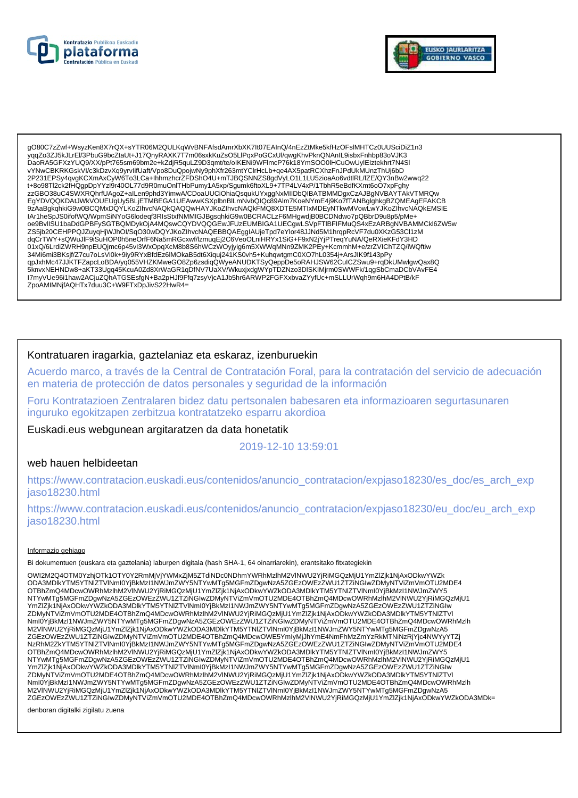



gO80C7zZwf+WsvzKen8X7rQX+sYTR06M2QULKgWvBNFAfsdAmrXbXK7It07EAInQ/4nEzZtMke5kfHzOFslMHTCz0UUSciDiZ1n3 vgqZo3ZJ5kJLrEI/3PbuG9bcZtaUt+J17QnyRAXK7T7m06sxkKuZsO5LlPqxPoGCxUl/qwqKhvPknQNAnIL9isbxFnhbp83oVJK3 DaoRA5GFXzYUQ9/XX/pPt765sm69bm2e+kZdjR5quLZ9D3qmt/te/oIKENi9WFlmcP76k18YmSOO0IHCuOwUyIEIztekhrt7N4Sl vYNwCBKRKGskVI/c3kDzvXq9yrvlifUaft/Vpo8DuQpojwNy9phXfr263mtYClrHcLb+qe4AX5patRCXhzFnJPdUkMUnzThUj6bD 2P231EPSy4qvgKCXmAxCyW6To3LCa+lhhmzhcrZFDShO4U+mTJBQSNNZS8gdVyLO1L1LU5zioaAo6vdtlRL/fZE/QY3nBw2wwq22 t+8o98Tl2ck2fHQgpDpYYzI9r40OL77d9R0muOnlTHbPumy1A5xp/Sgumk6ftoXL9+7TP4LV4xP/1TbhR5eBdfKXmt6oO7xpFghy zzGBO38uC4SWXRQhrfUAgoZ+aILen9phd3YimwA/CDoaUUCiOhiaQsqukUYxggNxMIIDbQIBATBMMDgxCzAJBgNVBAYTAkVTMRQw EgYDVQQKDAtJWkVOUEUgUy5BLjETMBEGA1UEAwwKSXplbnBlLmNvbQlQc89Alm7KoeNYmE4j9Ko7fTANBglghkgBZQMEAgEFAKCB 9zAaBgkqhkiG9w0BCQMxDQYLKoZIhvcNAQkQAQQwHAYJKoZIhvcNAQkFMQ8XDTE5MTIxMDEyNTkwMVowLwYJKoZIhvcNAQkEMSIE IAr1heSpJS0ifofWQ/WpmSiNYoG6lodeqf3RIsStxfNMMIGJBgsqhkiG9w0BCRACLzF6MHgwdjB0BCDNdwo7pQBbrD9u8p5/pMe+ oe9BvllSU1baDdGPBFySGTBQMDykOjA4MQswCQYDVQQGEwJFUzEUMBIGA1UECgwLSVpFTIBFIFMuQS4xEzARBgNVBAMMCkl6ZW5w ZS5jb20CEHPPQJZuyqHjWJhOl/SqO30wDQYJKoZlhvcNAQEBBQAEgglAUjeTpd7eYlor48JJNd5M1hrqpRcVF7du0XKzG53Cl1zM dqCrTWY+sQWuJlF9iSuHOP0h5neOrfF6Na5mRGcxwf/lzmuqEj2C6VeoOLniHRYx1SiG+F9xN2jYjPTreqYuNA/QeRXieKFdY3HD 01xQ/6LrdiZWRH9npEUQjmc6p45vl3WxOpqXcM8b8S6hWCzWOyjyig6m5XWWqMNn9ZMK2PEy+KcmmhM+e/zrZVIChTZQ/iWQftiw 34Mi6mi3BKsjf/Z7cu7oLsVi0k+9iy9RYxBfdEz6lMOkaB5dt6Xiquj241KS0vh5+KuhqwtgmC0XO7hL0354j+ArsJlK9f143pPy ZpoAMIMNjfAQHTx7duu3C+W9FTxDpJivS22HwR4=

## Kontratuaren iragarkia, gaztelaniaz eta eskaraz, izenburuekin

Acuerdo marco, a través de la Central de Contratación Foral, para la contratación del servicio de adecuación en materia de protección de datos personales y seguridad de la información

Foru Kontratazioen Zentralaren bidez datu pertsonalen babesaren eta informazioaren segurtasunaren inguruko egokitzapen zerbitzua kontratatzeko esparru akordioa

Euskadi.eus webgunean argitaratzen da data honetatik

2019-12-10 13:59:01

#### web hauen helbideetan

https://www.contratacion.euskadi.eus/contenidos/anuncio\_contratacion/expjaso18230/es\_doc/es\_arch\_exp iaso18230.html

https://www.contratacion.euskadi.eus/contenidos/anuncio\_contratacion/expjaso18230/eu\_doc/eu\_arch\_exp jaso18230.html

#### Informazio gehiago

Bi dokumentuen (euskara eta gaztelania) laburpen digitala (hash SHA-1, 64 oinarriarekin), erantsitako fitxategiekin

OWI2M2Q4OTM0YzhiOTk1OTY0Y2RmMiViYWMxZiM5ZTdiNDc0NDhmYWRhMzlhM2VINWU2YiRiMGQzMiU1YmZlZik1NiAxODkwYWZk ODA3MDIkYTMSYTNIZTVINmI0YjBkMzI1NWJmZWY5NTYwMTg5MGFmZDgwNzA5ZGEzOWEzZWU1ZTZINGIwZDMyNTViZmVmOTU2MDE4 OTBhZmQ4MDcwOWRhMzIhM2VINWU2YjRiMGQzMjU1YmZlZjk1NjAxODkwYWZkODA3MDlkYTM5YTNlZTVINml0YjBkMzl1NWJmZWY5 NTYwMTg5MGFmZDgwNzA5ZGEzOWEzZWU1ZTZINGIwZDMyNTViZmVmOTU2MDE4OTBhZmQ4MDcwOWRhMzInM2VINWU2YjRiMGQzMjU1 YmZlZjk1NjAxODkwYWZkODA3MDlkYTM5YTNlZTVlNml0YjBkMzl1NWJmZWY5NTYwMTg5MGFmZDgwNzA5ZGEzOWEzZWU1ZTZiNGlw ZDMyNTViZmVmOTU2MDE4OTBhZmQ4MDcwOWRhMzlhM2VINWU2YjRiMGQzMjU1YmZlZjk1NjAxODkwYWZkODA3MDlkYTM5YTNIZTVI Nml0YjBkMzI1NWJmZWY5NTYwMTg5MGFmZDgwNzA5ZGEzOWEzZWU1ZTZiNGIwZDMyNTViZmVmOTU2MDE4OTBhZmQ4MDcwOWRhMzIh<br>M2VINWU2YjRiMGQzMjU1YmZlZjk1NjAxODkwYWZkODA3MDlkYTM5YTNIZTVINml0YjBkMzI1NWJmZWY5NTYwMTg5MGFmZDgwNzA5 %CEZOWEZZWUJZTZINGIWZDMyNTViZmVmOTU2MDE4OTBhZmQ4MDcwOWE5YmIyMjJhYmE4NmFhMzZmYzRkMTNiNzRjYjc4NWYyYTZj<br>NzRhM2ZkYTM5YTNIZTVINml0YjBkMzI1NWJmZWY5NTYwMTg5MGFmZDgwNzA5ZGEzOWEzZWU1ZTZiNGIwZDMyNTViZmVmOTU2MDE4 OTBhZmQ4MDcwOWRhMzIhM2VINWU2YjRiMGQzMjU1YmZIZjk1NjAxODkwYWZkODA3MDlkYTM5YTNIZTVINmI0YjBkMzI1NWJmZWY5 NTYwMTg5MGFmZDgwNzA5ZGEzOWEzZWU1ZTZINGIwZDMyNTViZmVmOTU2MDE4OTBhZmQ4MDcwOWRhMzInM2VINWU2YjRiMGQzMjU1 YmZlZjk1NjAxODkwYWZkODA3MDlkYTM5YTNlZTVlNml0YjBkMzl1NWJmZWY5NTYwMTg5MGFmZDgwNzA5ZGEzOWEzZWU1ZTZiNGlw ZDMyNTViZmVmOTU2MDE4OTBhZmQ4MDcwOWRhMzlhM2VINWU2YjRiMGQzMjU1YmZlZjk1NjAxODkwYWZkODA3MDlkYTM5YTNIZTVI Nml0YjBkMzI1NWJmZWY5NTYwMTg5MGFmZDgwNzA5ZGEzOWEzZWU1ZTZiNGlwZDMyNTViZmVmOTU2MDE4OTBhZmQ4MDcwOWRhMzlh<br>M2VINWU2YjRiMGQzMjU1YmZlZjk1NjAxODkwYWZkODA3MDlkYTM5YTNlZTVlNml0YjBkMzI1NWJmZWY5NTYwMTg5MGFmZDgwNzA5 ZGEzOWEzZWU1ZTZiŃGIwZDMyNTViZmVmOTU2MDE4OTBhZmQ4MDcwOWRhMzIhM2VINWU2YjRiMGQzMjU1YmZlZjk1NjAxODkwYWZkODA3MDk=

denboran digitalki zigilatu zuena